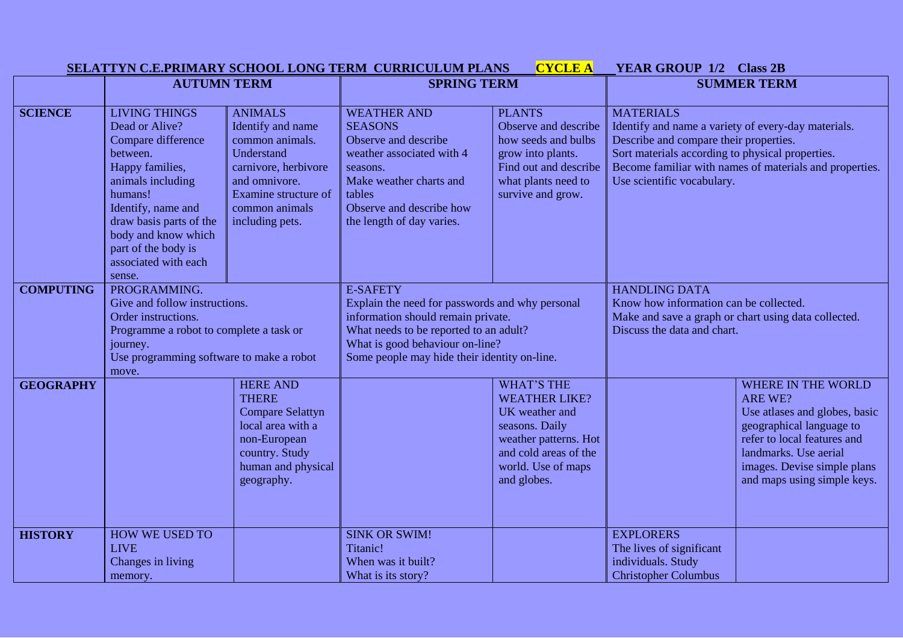|                  | <b>CYCLE A</b><br>SELATTYN C.E.PRIMARY SCHOOL LONG TERM CURRICULUM PLANS                                                                                                                                                                           |                                                                                                                                                                            |                                                                                                                                                                                                                                       |                                                                                                                                                                      | <b>YEAR GROUP 1/2 Class 2B</b>                                                                                                                                                                                                                                 |                                                                                                                                                                                                                         |
|------------------|----------------------------------------------------------------------------------------------------------------------------------------------------------------------------------------------------------------------------------------------------|----------------------------------------------------------------------------------------------------------------------------------------------------------------------------|---------------------------------------------------------------------------------------------------------------------------------------------------------------------------------------------------------------------------------------|----------------------------------------------------------------------------------------------------------------------------------------------------------------------|----------------------------------------------------------------------------------------------------------------------------------------------------------------------------------------------------------------------------------------------------------------|-------------------------------------------------------------------------------------------------------------------------------------------------------------------------------------------------------------------------|
|                  | <b>AUTUMN TERM</b>                                                                                                                                                                                                                                 |                                                                                                                                                                            | <b>SPRING TERM</b>                                                                                                                                                                                                                    |                                                                                                                                                                      | <b>SUMMER TERM</b>                                                                                                                                                                                                                                             |                                                                                                                                                                                                                         |
|                  |                                                                                                                                                                                                                                                    |                                                                                                                                                                            |                                                                                                                                                                                                                                       |                                                                                                                                                                      |                                                                                                                                                                                                                                                                |                                                                                                                                                                                                                         |
| <b>SCIENCE</b>   | <b>LIVING THINGS</b><br>Dead or Alive?<br>Compare difference<br>between.<br>Happy families,<br>animals including<br>humans!<br>Identify, name and<br>draw basis parts of the<br>body and know which<br>part of the body is<br>associated with each | <b>ANIMALS</b><br>Identify and name<br>common animals.<br>Understand<br>carnivore, herbivore<br>and omnivore.<br>Examine structure of<br>common animals<br>including pets. | <b>WEATHER AND</b><br><b>SEASONS</b><br>Observe and describe<br>weather associated with 4<br>seasons.<br>Make weather charts and<br>tables<br>Observe and describe how<br>the length of day varies.                                   | <b>PLANTS</b><br>Observe and describe<br>how seeds and bulbs<br>grow into plants.<br>Find out and describe<br>what plants need to<br>survive and grow.               | <b>MATERIALS</b><br>Identify and name a variety of every-day materials.<br>Describe and compare their properties.<br>Sort materials according to physical properties.<br>Become familiar with names of materials and properties.<br>Use scientific vocabulary. |                                                                                                                                                                                                                         |
|                  | sense.                                                                                                                                                                                                                                             |                                                                                                                                                                            |                                                                                                                                                                                                                                       |                                                                                                                                                                      |                                                                                                                                                                                                                                                                |                                                                                                                                                                                                                         |
| <b>COMPUTING</b> | PROGRAMMING.<br>Give and follow instructions.<br>Order instructions.<br>Programme a robot to complete a task or<br>journey.<br>Use programming software to make a robot<br>move.                                                                   |                                                                                                                                                                            | <b>E-SAFETY</b><br>Explain the need for passwords and why personal<br>information should remain private.<br>What needs to be reported to an adult?<br>What is good behaviour on-line?<br>Some people may hide their identity on-line. |                                                                                                                                                                      | <b>HANDLING DATA</b><br>Know how information can be collected.<br>Make and save a graph or chart using data collected.<br>Discuss the data and chart.                                                                                                          |                                                                                                                                                                                                                         |
| <b>GEOGRAPHY</b> |                                                                                                                                                                                                                                                    | <b>HERE AND</b><br><b>THERE</b><br><b>Compare Selattyn</b><br>local area with a<br>non-European<br>country. Study<br>human and physical<br>geography.                      |                                                                                                                                                                                                                                       | <b>WHAT'S THE</b><br><b>WEATHER LIKE?</b><br>UK weather and<br>seasons. Daily<br>weather patterns. Hot<br>and cold areas of the<br>world. Use of maps<br>and globes. |                                                                                                                                                                                                                                                                | <b>WHERE IN THE WORLD</b><br>ARE WE?<br>Use atlases and globes, basic<br>geographical language to<br>refer to local features and<br>landmarks. Use aerial<br>images. Devise simple plans<br>and maps using simple keys. |
| <b>HISTORY</b>   | HOW WE USED TO<br><b>LIVE</b><br>Changes in living<br>memory.                                                                                                                                                                                      |                                                                                                                                                                            | <b>SINK OR SWIM!</b><br>Titanic!<br>When was it built?<br>What is its story?                                                                                                                                                          |                                                                                                                                                                      | <b>EXPLORERS</b><br>The lives of significant<br>individuals. Study<br><b>Christopher Columbus</b>                                                                                                                                                              |                                                                                                                                                                                                                         |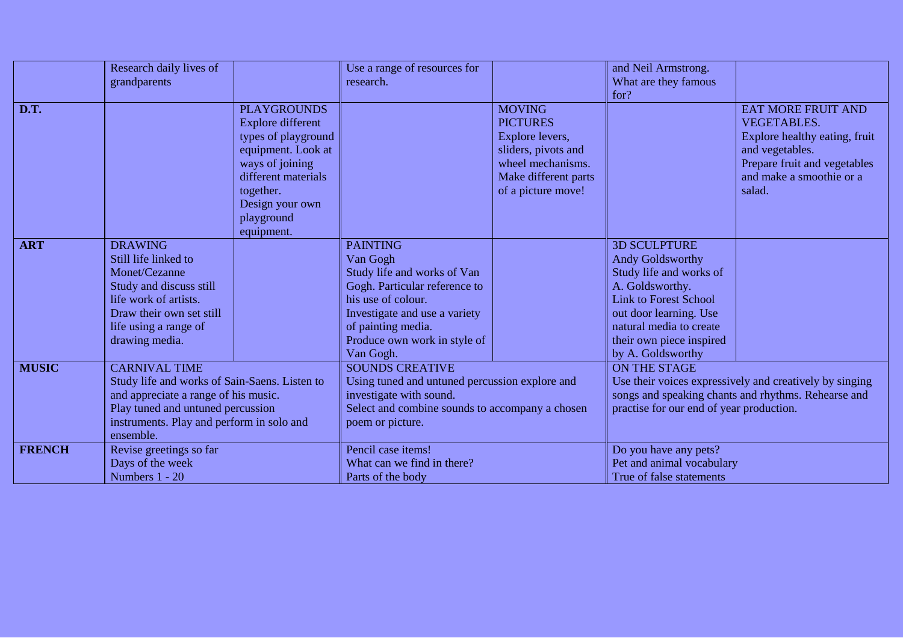|               | Research daily lives of                                                                                                                                                                                      |                          | Use a range of resources for                                                                                                                     |                      | and Neil Armstrong.                                                                                                                                        |                               |
|---------------|--------------------------------------------------------------------------------------------------------------------------------------------------------------------------------------------------------------|--------------------------|--------------------------------------------------------------------------------------------------------------------------------------------------|----------------------|------------------------------------------------------------------------------------------------------------------------------------------------------------|-------------------------------|
|               | grandparents                                                                                                                                                                                                 |                          | research.                                                                                                                                        |                      | What are they famous                                                                                                                                       |                               |
|               |                                                                                                                                                                                                              |                          |                                                                                                                                                  |                      | for?                                                                                                                                                       |                               |
| D.T.          |                                                                                                                                                                                                              | <b>PLAYGROUNDS</b>       |                                                                                                                                                  | <b>MOVING</b>        |                                                                                                                                                            | <b>EAT MORE FRUIT AND</b>     |
|               |                                                                                                                                                                                                              | <b>Explore different</b> |                                                                                                                                                  | <b>PICTURES</b>      |                                                                                                                                                            | <b>VEGETABLES.</b>            |
|               |                                                                                                                                                                                                              | types of playground      |                                                                                                                                                  | Explore levers,      |                                                                                                                                                            | Explore healthy eating, fruit |
|               |                                                                                                                                                                                                              | equipment. Look at       |                                                                                                                                                  | sliders, pivots and  |                                                                                                                                                            | and vegetables.               |
|               |                                                                                                                                                                                                              | ways of joining          |                                                                                                                                                  | wheel mechanisms.    |                                                                                                                                                            | Prepare fruit and vegetables  |
|               |                                                                                                                                                                                                              | different materials      |                                                                                                                                                  | Make different parts |                                                                                                                                                            | and make a smoothie or a      |
|               |                                                                                                                                                                                                              | together.                |                                                                                                                                                  | of a picture move!   |                                                                                                                                                            | salad.                        |
|               |                                                                                                                                                                                                              | Design your own          |                                                                                                                                                  |                      |                                                                                                                                                            |                               |
|               |                                                                                                                                                                                                              | playground               |                                                                                                                                                  |                      |                                                                                                                                                            |                               |
|               |                                                                                                                                                                                                              | equipment.               |                                                                                                                                                  |                      |                                                                                                                                                            |                               |
| <b>ART</b>    | <b>DRAWING</b>                                                                                                                                                                                               |                          | <b>PAINTING</b>                                                                                                                                  |                      | <b>3D SCULPTURE</b>                                                                                                                                        |                               |
|               | Still life linked to                                                                                                                                                                                         |                          | Van Gogh                                                                                                                                         |                      | Andy Goldsworthy                                                                                                                                           |                               |
|               | Monet/Cezanne                                                                                                                                                                                                |                          | Study life and works of Van                                                                                                                      |                      | Study life and works of                                                                                                                                    |                               |
|               | Study and discuss still                                                                                                                                                                                      |                          | Gogh. Particular reference to                                                                                                                    |                      | A. Goldsworthy.                                                                                                                                            |                               |
|               | life work of artists.                                                                                                                                                                                        |                          | his use of colour.                                                                                                                               |                      | <b>Link to Forest School</b>                                                                                                                               |                               |
|               | Draw their own set still                                                                                                                                                                                     |                          | Investigate and use a variety                                                                                                                    |                      | out door learning. Use                                                                                                                                     |                               |
|               | life using a range of                                                                                                                                                                                        |                          | of painting media.                                                                                                                               |                      | natural media to create                                                                                                                                    |                               |
|               | drawing media.                                                                                                                                                                                               |                          | Produce own work in style of                                                                                                                     |                      | their own piece inspired                                                                                                                                   |                               |
|               |                                                                                                                                                                                                              |                          | Van Gogh.                                                                                                                                        |                      | by A. Goldsworthy                                                                                                                                          |                               |
| <b>MUSIC</b>  | <b>CARNIVAL TIME</b><br>Study life and works of Sain-Saens. Listen to<br>and appreciate a range of his music.<br>Play tuned and untuned percussion<br>instruments. Play and perform in solo and<br>ensemble. |                          | <b>SOUNDS CREATIVE</b>                                                                                                                           |                      | ON THE STAGE                                                                                                                                               |                               |
|               |                                                                                                                                                                                                              |                          | Using tuned and untuned percussion explore and<br>investigate with sound.<br>Select and combine sounds to accompany a chosen<br>poem or picture. |                      | Use their voices expressively and creatively by singing<br>songs and speaking chants and rhythms. Rehearse and<br>practise for our end of year production. |                               |
|               |                                                                                                                                                                                                              |                          |                                                                                                                                                  |                      |                                                                                                                                                            |                               |
|               |                                                                                                                                                                                                              |                          |                                                                                                                                                  |                      |                                                                                                                                                            |                               |
|               |                                                                                                                                                                                                              |                          |                                                                                                                                                  |                      |                                                                                                                                                            |                               |
|               |                                                                                                                                                                                                              |                          |                                                                                                                                                  |                      |                                                                                                                                                            |                               |
| <b>FRENCH</b> | Revise greetings so far                                                                                                                                                                                      |                          | Pencil case items!                                                                                                                               |                      | Do you have any pets?                                                                                                                                      |                               |
|               | Days of the week                                                                                                                                                                                             |                          | What can we find in there?                                                                                                                       |                      | Pet and animal vocabulary                                                                                                                                  |                               |
|               | Numbers 1 - 20                                                                                                                                                                                               |                          | Parts of the body                                                                                                                                |                      | True of false statements                                                                                                                                   |                               |